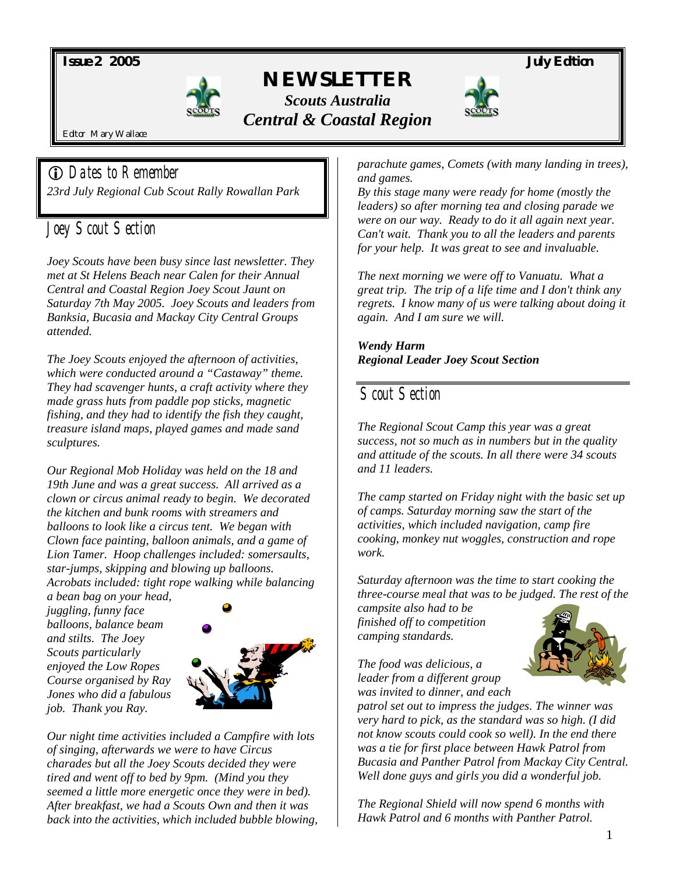*Issue 2 2005 July Edition* 



# *NEWSLETTER Scouts Australia Central & Coastal Region*



Editor Mary Wallace

! *Dates to Remember 23rd July Regional Cub Scout Rally Rowallan Park* 

# *Joey Scout Section*

*Joey Scouts have been busy since last newsletter. They met at St Helens Beach near Calen for their Annual Central and Coastal Region Joey Scout Jaunt on Saturday 7th May 2005. Joey Scouts and leaders from Banksia, Bucasia and Mackay City Central Groups attended.* 

*The Joey Scouts enjoyed the afternoon of activities, which were conducted around a "Castaway" theme. They had scavenger hunts, a craft activity where they made grass huts from paddle pop sticks, magnetic fishing, and they had to identify the fish they caught, treasure island maps, played games and made sand sculptures.* 

*Our Regional Mob Holiday was held on the 18 and 19th June and was a great success. All arrived as a clown or circus animal ready to begin. We decorated the kitchen and bunk rooms with streamers and balloons to look like a circus tent. We began with Clown face painting, balloon animals, and a game of Lion Tamer. Hoop challenges included: somersaults, star-jumps, skipping and blowing up balloons. Acrobats included: tight rope walking while balancing* 

*a bean bag on your head, juggling, funny face balloons, balance beam and stilts. The Joey Scouts particularly enjoyed the Low Ropes Course organised by Ray Jones who did a fabulous job. Thank you Ray.* 



*Our night time activities included a Campfire with lots of singing, afterwards we were to have Circus charades but all the Joey Scouts decided they were tired and went off to bed by 9pm. (Mind you they seemed a little more energetic once they were in bed). After breakfast, we had a Scouts Own and then it was back into the activities, which included bubble blowing,*  *parachute games, Comets (with many landing in trees), and games.* 

*By this stage many were ready for home (mostly the leaders) so after morning tea and closing parade we were on our way. Ready to do it all again next year. Can't wait. Thank you to all the leaders and parents for your help. It was great to see and invaluable.* 

*The next morning we were off to Vanuatu. What a great trip. The trip of a life time and I don't think any regrets. I know many of us were talking about doing it again. And I am sure we will.* 

*Wendy Harm Regional Leader Joey Scout Section* 

## *Scout Section*

*The Regional Scout Camp this year was a great success, not so much as in numbers but in the quality and attitude of the scouts. In all there were 34 scouts and 11 leaders.* 

*The camp started on Friday night with the basic set up of camps. Saturday morning saw the start of the activities, which included navigation, camp fire cooking, monkey nut woggles, construction and rope work.* 

*Saturday afternoon was the time to start cooking the three-course meal that was to be judged. The rest of the* 

*campsite also had to be finished off to competition camping standards.* 



*The food was delicious, a leader from a different group was invited to dinner, and each* 

*patrol set out to impress the judges. The winner was very hard to pick, as the standard was so high. (I did not know scouts could cook so well). In the end there was a tie for first place between Hawk Patrol from Bucasia and Panther Patrol from Mackay City Central. Well done guys and girls you did a wonderful job.* 

*The Regional Shield will now spend 6 months with Hawk Patrol and 6 months with Panther Patrol.*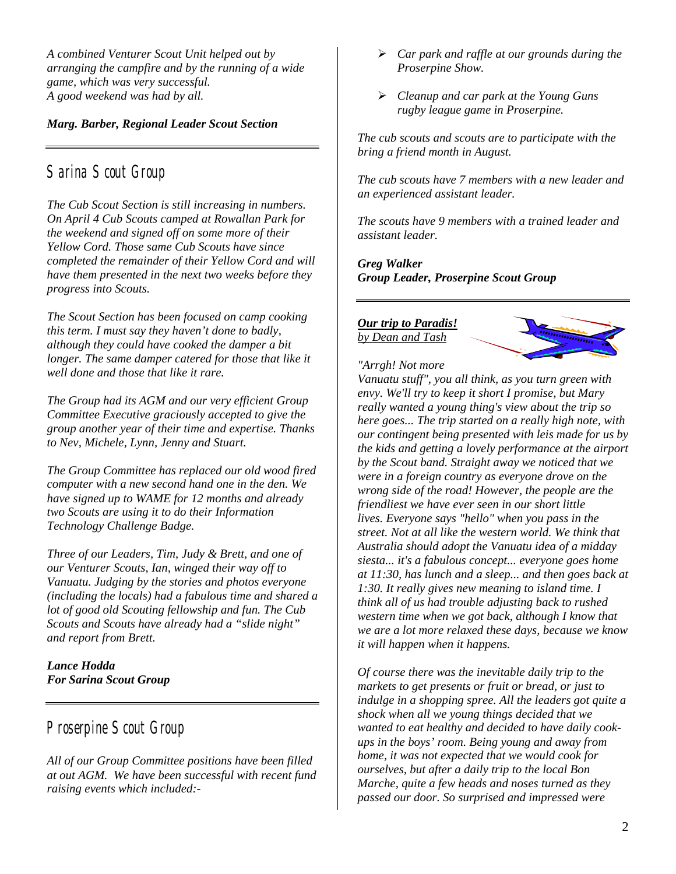*A combined Venturer Scout Unit helped out by arranging the campfire and by the running of a wide game, which was very successful. A good weekend was had by all.* 

#### *Marg. Barber, Regional Leader Scout Section*

### *Sarina Scout Group*

*The Cub Scout Section is still increasing in numbers. On April 4 Cub Scouts camped at Rowallan Park for the weekend and signed off on some more of their Yellow Cord. Those same Cub Scouts have since completed the remainder of their Yellow Cord and will have them presented in the next two weeks before they progress into Scouts.* 

*The Scout Section has been focused on camp cooking this term. I must say they haven't done to badly, although they could have cooked the damper a bit longer. The same damper catered for those that like it well done and those that like it rare.* 

*The Group had its AGM and our very efficient Group Committee Executive graciously accepted to give the group another year of their time and expertise. Thanks to Nev, Michele, Lynn, Jenny and Stuart.* 

*The Group Committee has replaced our old wood fired computer with a new second hand one in the den. We have signed up to WAME for 12 months and already two Scouts are using it to do their Information Technology Challenge Badge.* 

*Three of our Leaders, Tim, Judy & Brett, and one of our Venturer Scouts, Ian, winged their way off to Vanuatu. Judging by the stories and photos everyone (including the locals) had a fabulous time and shared a lot of good old Scouting fellowship and fun. The Cub Scouts and Scouts have already had a "slide night" and report from Brett.* 

*Lance Hodda For Sarina Scout Group* 

#### *Proserpine Scout Group*

*All of our Group Committee positions have been filled at out AGM. We have been successful with recent fund raising events which included:-* 

- ! *Car park and raffle at our grounds during the Proserpine Show.*
- ! *Cleanup and car park at the Young Guns rugby league game in Proserpine.*

*The cub scouts and scouts are to participate with the bring a friend month in August.* 

*The cub scouts have 7 members with a new leader and an experienced assistant leader.* 

*The scouts have 9 members with a trained leader and assistant leader.* 

*Greg Walker Group Leader, Proserpine Scout Group* 

*Our trip to Paradis! by Dean and Tash*



*"Arrgh! Not more* 

*Vanuatu stuff", you all think, as you turn green with envy. We'll try to keep it short I promise, but Mary really wanted a young thing's view about the trip so here goes... The trip started on a really high note, with our contingent being presented with leis made for us by the kids and getting a lovely performance at the airport by the Scout band. Straight away we noticed that we were in a foreign country as everyone drove on the wrong side of the road! However, the people are the friendliest we have ever seen in our short little lives. Everyone says "hello" when you pass in the street. Not at all like the western world. We think that Australia should adopt the Vanuatu idea of a midday siesta... it's a fabulous concept... everyone goes home at 11:30, has lunch and a sleep... and then goes back at 1:30. It really gives new meaning to island time. I think all of us had trouble adjusting back to rushed western time when we got back, although I know that we are a lot more relaxed these days, because we know it will happen when it happens.* 

*Of course there was the inevitable daily trip to the markets to get presents or fruit or bread, or just to indulge in a shopping spree. All the leaders got quite a shock when all we young things decided that we wanted to eat healthy and decided to have daily cookups in the boys' room. Being young and away from home, it was not expected that we would cook for ourselves, but after a daily trip to the local Bon Marche, quite a few heads and noses turned as they passed our door. So surprised and impressed were*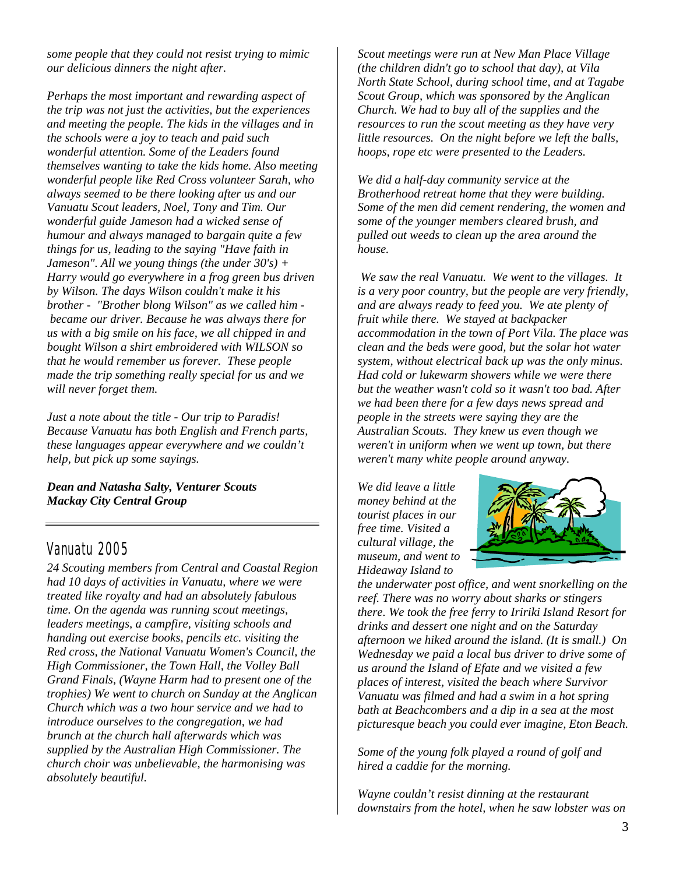*some people that they could not resist trying to mimic our delicious dinners the night after.* 

*Perhaps the most important and rewarding aspect of the trip was not just the activities, but the experiences and meeting the people. The kids in the villages and in the schools were a joy to teach and paid such wonderful attention. Some of the Leaders found themselves wanting to take the kids home. Also meeting wonderful people like Red Cross volunteer Sarah, who always seemed to be there looking after us and our Vanuatu Scout leaders, Noel, Tony and Tim. Our wonderful guide Jameson had a wicked sense of humour and always managed to bargain quite a few things for us, leading to the saying "Have faith in Jameson". All we young things (the under 30's) + Harry would go everywhere in a frog green bus driven by Wilson. The days Wilson couldn't make it his brother - "Brother blong Wilson" as we called him became our driver. Because he was always there for us with a big smile on his face, we all chipped in and bought Wilson a shirt embroidered with WILSON so that he would remember us forever. These people made the trip something really special for us and we will never forget them.* 

*Just a note about the title - Our trip to Paradis! Because Vanuatu has both English and French parts, these languages appear everywhere and we couldn't help, but pick up some sayings.* 

*Dean and Natasha Salty, Venturer Scouts Mackay City Central Group* 

## *Vanuatu 2005*

*24 Scouting members from Central and Coastal Region had 10 days of activities in Vanuatu, where we were treated like royalty and had an absolutely fabulous time. On the agenda was running scout meetings, leaders meetings, a campfire, visiting schools and handing out exercise books, pencils etc. visiting the Red cross, the National Vanuatu Women's Council, the High Commissioner, the Town Hall, the Volley Ball Grand Finals, (Wayne Harm had to present one of the trophies) We went to church on Sunday at the Anglican Church which was a two hour service and we had to introduce ourselves to the congregation, we had brunch at the church hall afterwards which was supplied by the Australian High Commissioner. The church choir was unbelievable, the harmonising was absolutely beautiful.* 

*Scout meetings were run at New Man Place Village (the children didn't go to school that day), at Vila North State School, during school time, and at Tagabe Scout Group, which was sponsored by the Anglican Church. We had to buy all of the supplies and the resources to run the scout meeting as they have very little resources. On the night before we left the balls, hoops, rope etc were presented to the Leaders.* 

*We did a half-day community service at the Brotherhood retreat home that they were building. Some of the men did cement rendering, the women and some of the younger members cleared brush, and pulled out weeds to clean up the area around the house.* 

 *We saw the real Vanuatu. We went to the villages. It is a very poor country, but the people are very friendly, and are always ready to feed you. We ate plenty of fruit while there. We stayed at backpacker accommodation in the town of Port Vila. The place was clean and the beds were good, but the solar hot water system, without electrical back up was the only minus. Had cold or lukewarm showers while we were there but the weather wasn't cold so it wasn't too bad. After we had been there for a few days news spread and people in the streets were saying they are the Australian Scouts. They knew us even though we weren't in uniform when we went up town, but there weren't many white people around anyway.* 

*We did leave a little money behind at the tourist places in our free time. Visited a cultural village, the museum, and went to Hideaway Island to* 



*the underwater post office, and went snorkelling on the reef. There was no worry about sharks or stingers there. We took the free ferry to Iririki Island Resort for drinks and dessert one night and on the Saturday afternoon we hiked around the island. (It is small.) On Wednesday we paid a local bus driver to drive some of us around the Island of Efate and we visited a few places of interest, visited the beach where Survivor Vanuatu was filmed and had a swim in a hot spring bath at Beachcombers and a dip in a sea at the most picturesque beach you could ever imagine, Eton Beach.* 

*Some of the young folk played a round of golf and hired a caddie for the morning.* 

*Wayne couldn't resist dinning at the restaurant downstairs from the hotel, when he saw lobster was on*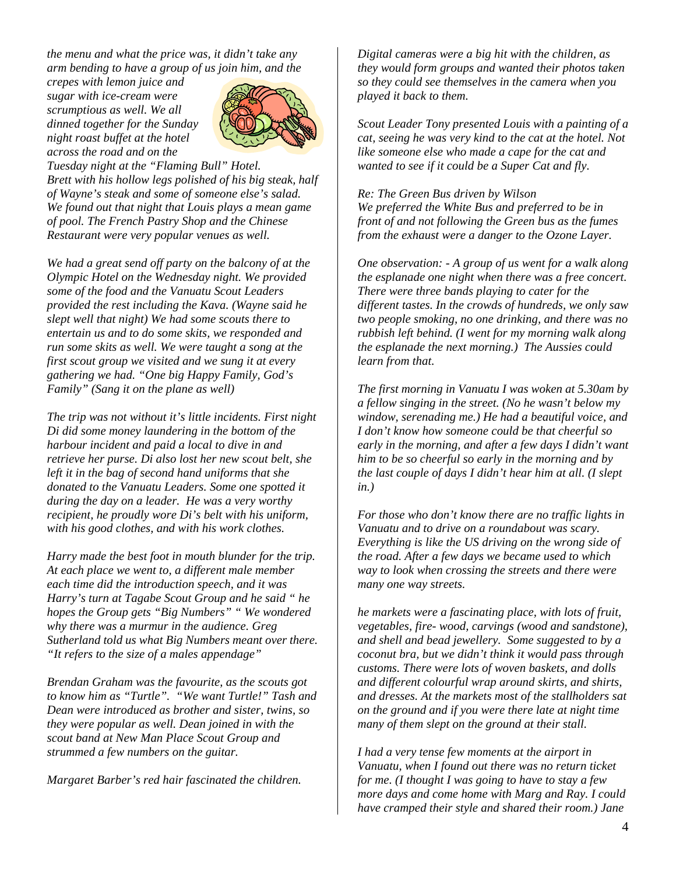*the menu and what the price was, it didn't take any arm bending to have a group of us join him, and the* 

*crepes with lemon juice and sugar with ice-cream were scrumptious as well. We all dinned together for the Sunday night roast buffet at the hotel across the road and on the* 



*Tuesday night at the "Flaming Bull" Hotel. Brett with his hollow legs polished of his big steak, half of Wayne's steak and some of someone else's salad. We found out that night that Louis plays a mean game of pool. The French Pastry Shop and the Chinese Restaurant were very popular venues as well.* 

*We had a great send off party on the balcony of at the Olympic Hotel on the Wednesday night. We provided some of the food and the Vanuatu Scout Leaders provided the rest including the Kava. (Wayne said he slept well that night) We had some scouts there to entertain us and to do some skits, we responded and run some skits as well. We were taught a song at the first scout group we visited and we sung it at every gathering we had. "One big Happy Family, God's Family" (Sang it on the plane as well)* 

*The trip was not without it's little incidents. First night Di did some money laundering in the bottom of the harbour incident and paid a local to dive in and retrieve her purse. Di also lost her new scout belt, she left it in the bag of second hand uniforms that she donated to the Vanuatu Leaders. Some one spotted it during the day on a leader. He was a very worthy recipient, he proudly wore Di's belt with his uniform, with his good clothes, and with his work clothes.* 

*Harry made the best foot in mouth blunder for the trip. At each place we went to, a different male member each time did the introduction speech, and it was Harry's turn at Tagabe Scout Group and he said " he hopes the Group gets "Big Numbers" " We wondered why there was a murmur in the audience. Greg Sutherland told us what Big Numbers meant over there. "It refers to the size of a males appendage"* 

*Brendan Graham was the favourite, as the scouts got to know him as "Turtle". "We want Turtle!" Tash and Dean were introduced as brother and sister, twins, so they were popular as well. Dean joined in with the scout band at New Man Place Scout Group and strummed a few numbers on the guitar.* 

*Margaret Barber's red hair fascinated the children.* 

*Digital cameras were a big hit with the children, as they would form groups and wanted their photos taken so they could see themselves in the camera when you played it back to them.* 

*Scout Leader Tony presented Louis with a painting of a cat, seeing he was very kind to the cat at the hotel. Not like someone else who made a cape for the cat and wanted to see if it could be a Super Cat and fly.* 

#### *Re: The Green Bus driven by Wilson We preferred the White Bus and preferred to be in front of and not following the Green bus as the fumes from the exhaust were a danger to the Ozone Layer.*

*One observation: - A group of us went for a walk along the esplanade one night when there was a free concert. There were three bands playing to cater for the different tastes. In the crowds of hundreds, we only saw two people smoking, no one drinking, and there was no rubbish left behind. (I went for my morning walk along the esplanade the next morning.) The Aussies could learn from that.* 

*The first morning in Vanuatu I was woken at 5.30am by a fellow singing in the street. (No he wasn't below my window, serenading me.) He had a beautiful voice, and I don't know how someone could be that cheerful so early in the morning, and after a few days I didn't want him to be so cheerful so early in the morning and by the last couple of days I didn't hear him at all. (I slept in.)* 

*For those who don't know there are no traffic lights in Vanuatu and to drive on a roundabout was scary. Everything is like the US driving on the wrong side of the road. After a few days we became used to which way to look when crossing the streets and there were many one way streets.* 

*he markets were a fascinating place, with lots of fruit, vegetables, fire- wood, carvings (wood and sandstone), and shell and bead jewellery. Some suggested to by a coconut bra, but we didn't think it would pass through customs. There were lots of woven baskets, and dolls and different colourful wrap around skirts, and shirts, and dresses. At the markets most of the stallholders sat on the ground and if you were there late at night time many of them slept on the ground at their stall.* 

*I had a very tense few moments at the airport in Vanuatu, when I found out there was no return ticket for me. (I thought I was going to have to stay a few more days and come home with Marg and Ray. I could have cramped their style and shared their room.) Jane*